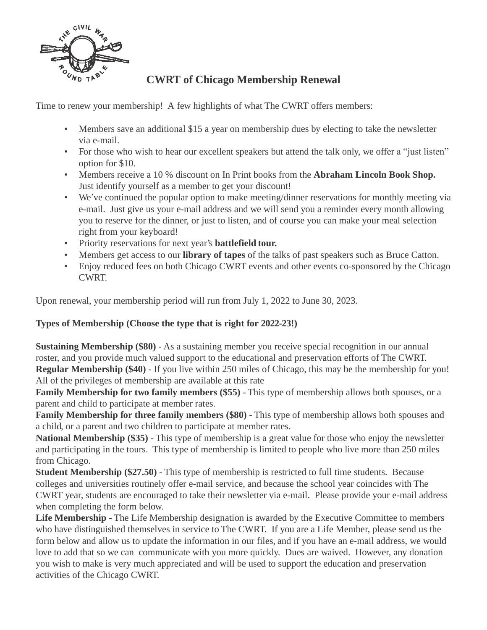

## **CWRT of Chicago Membership Renewal**

Time to renew your membership! A few highlights of what The CWRT offers members:

- Members save an additional \$15 a year on membership dues by electing to take the newsletter via e-mail.
- For those who wish to hear our excellent speakers but attend the talk only, we offer a "just listen" option for \$10.
- Members receive a 10 % discount on In Print books from the **Abraham Lincoln Book Shop.** Just identify yourself as a member to get your discount!
- We've continued the popular option to make meeting/dinner reservations for monthly meeting via e-mail. Just give us your e-mail address and we will send you a reminder every month allowing you to reserve for the dinner, or just to listen, and of course you can make your meal selection right from your keyboard!
- Priority reservations for next year's **battlefield tour.**
- Members get access to our **library of tapes** of the talks of past speakers such as Bruce Catton.
- Enjoy reduced fees on both Chicago CWRT events and other events co-sponsored by the Chicago CWRT.

Upon renewal, your membership period will run from July 1, 2022 to June 30, 2023.

## **Types of Membership (Choose the type that is right for 2022-23!)**

**Sustaining Membership (\$80)** - As a sustaining member you receive special recognition in our annual roster, and you provide much valued support to the educational and preservation efforts of The CWRT. **Regular Membership (\$40)** - If you live within 250 miles of Chicago, this may be the membership for you! All of the privileges of membership are available at this rate

**Family Membership for two family members (\$55)** - This type of membership allows both spouses, or a parent and child to participate at member rates.

**Family Membership for three family members (\$80)** - This type of membership allows both spouses and a child, or a parent and two children to participate at member rates.

**National Membership (\$35)** - This type of membership is a great value for those who enjoy the newsletter and participating in the tours. This type of membership is limited to people who live more than 250 miles from Chicago.

**Student Membership (\$27.50)** - This type of membership is restricted to full time students. Because colleges and universities routinely offer e-mail service, and because the school year coincides with The CWRT year, students are encouraged to take their newsletter via e-mail. Please provide your e-mail address when completing the form below.

Life Membership - The Life Membership designation is awarded by the Executive Committee to members who have distinguished themselves in service to The CWRT. If you are a Life Member, please send us the form below and allow us to update the information in our files, and if you have an e-mail address, we would love to add that so we can communicate with you more quickly. Dues are waived. However, any donation you wish to make is very much appreciated and will be used to support the education and preservation activities of the Chicago CWRT.